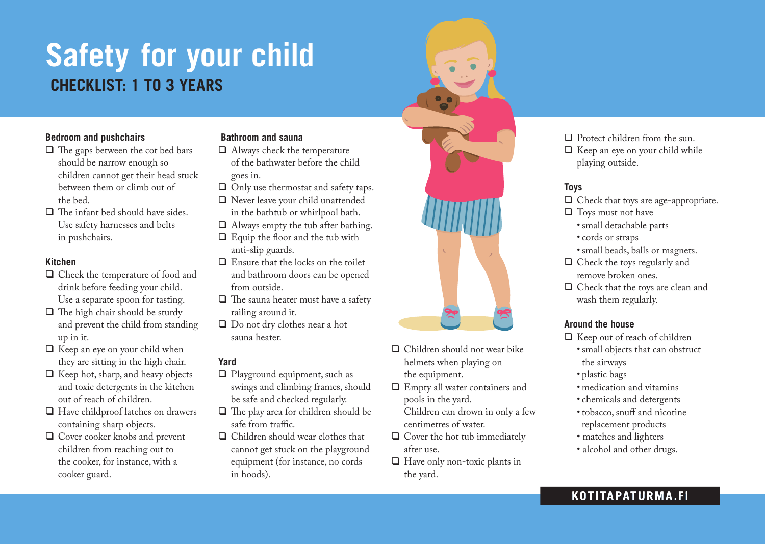# **Safety for your child CHECKLIST: 1 to 3 YEARs**

#### **Bedroom and pushchairs**

- $\Box$  The gaps between the cot bed bars should be narrow enough so children cannot get their head stuck between them or climb out of the bed.
- $\Box$  The infant bed should have sides. Use safety harnesses and belts in pushchairs.

### **Kitchen**

- $\Box$  Check the temperature of food and drink before feeding your child. Use a separate spoon for tasting.
- $\Box$  The high chair should be sturdy and prevent the child from standing up in it.
- $\Box$  Keep an eye on your child when they are sitting in the high chair.
- $\Box$  Keep hot, sharp, and heavy objects and toxic detergents in the kitchen out of reach of children.
- $\Box$  Have childproof latches on drawers containing sharp objects.
- $\Box$  Cover cooker knobs and prevent children from reaching out to the cooker, for instance, with a cooker guard.

## **Bathroom and sauna**

- $\Box$  Always check the temperature of the bathwater before the child goes in.
- $\Box$  Only use thermostat and safety taps.
- $\Box$  Never leave your child unattended in the bathtub or whirlpool bath.
- $\Box$  Always empty the tub after bathing.
- $\Box$  Equip the floor and the tub with anti-slip guards.
- $\Box$  Ensure that the locks on the toilet and bathroom doors can be opened from outside.
- $\Box$  The sauna heater must have a safety railing around it.
- $\Box$  Do not dry clothes near a hot sauna heater.

## **Yard**

- $\Box$  Playground equipment, such as swings and climbing frames, should be safe and checked regularly.
- $\Box$  The play area for children should be safe from traffic.
- $\Box$  Children should wear clothes that cannot get stuck on the playground equipment (for instance, no cords in hoods).



- $\Box$  Children should not wear bike helmets when playing on the equipment.
- $\Box$  Empty all water containers and pools in the yard.
	- Children can drown in only a few centimetres of water.
- $\Box$  Cover the hot tub immediately after use.
- $\Box$  Have only non-toxic plants in the yard.

 $\Box$  Protect children from the sun.  $\Box$  Keep an eye on your child while playing outside.

# **Toys**

- $\Box$  Check that toys are age-appropriate.
- $\Box$  Toys must not have
	- •small detachable parts
	- cords or straps
	- •small beads, balls or magnets.
- $\Box$  Check the toys regularly and remove broken ones.
- $\Box$  Check that the toys are clean and wash them regularly.

## **Around the house**

- $\Box$  Keep out of reach of children
	- •small objects that can obstruct the airways
	- plastic bags
	- medication and vitamins
	- chemicals and detergents
	- tobacco, snuff and nicotine replacement products
	- matches and lighters
	- alcohol and other drugs.

# KOTITAPATURMA.FI